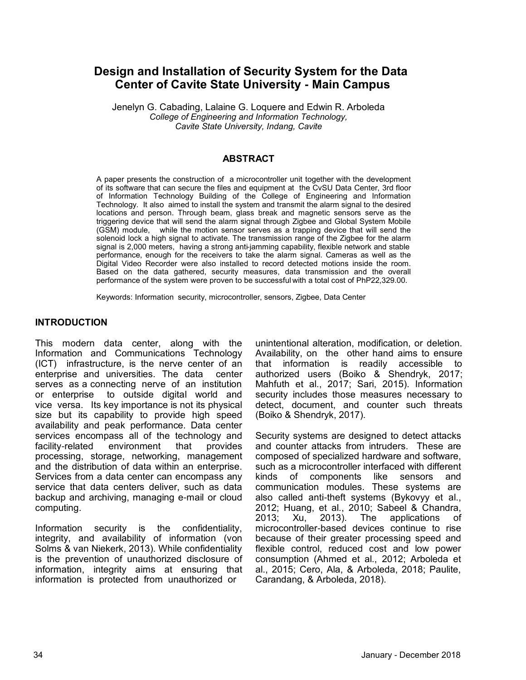# **Design and Installation of Security System for the Data Center of Cavite State University - Main Campus**

Jenelyn G. Cabading, Lalaine G. Loquere and Edwin R. Arboleda *College of Engineering and Information Technology, Cavite State University, Indang, Cavite*

#### **ABSTRACT**

A paper presents the construction of a microcontroller unit together with the development of its software that can secure the files and equipment at the CvSU Data Center, 3rd floor of Information Technology Building of the College of Engineering and Information Technology. It also aimed to install the system and transmit the alarm signal to the desired locations and person. Through beam, glass break and magnetic sensors serve as the triggering device that will send the alarm signal through Zigbee and Global System Mobile (GSM) module, while the motion sensor serves as a trapping device that will send the solenoid lock a high signal to activate. The transmission range of the Zigbee for the alarm signal is 2,000 meters, having a strong anti-jamming capability, flexible network and stable performance, enough for the receivers to take the alarm signal. Cameras as well as the Digital Video Recorder were also installed to record detected motions inside the room. Based on the data gathered, security measures, data transmission and the overall performance of the system were proven to be successful with a total cost of PhP22,329.00.

Keywords: Information security, microcontroller, sensors, Zigbee, Data Center

#### **INTRODUCTION**

This modern data center, along with the Information and Communications Technology (ICT) infrastructure, is the nerve center of an enterprise and universities. The data center serves as a connecting nerve of an institution or enterprise to outside digital world and vice versa. Its key importance is not its physical size but its capability to provide high speed availability and peak performance. Data center services encompass all of the technology and facility-related environment that provides processing, storage, networking, management and the distribution of data within an enterprise. Services from a data center can encompass any service that data centers deliver, such as data backup and archiving, managing e-mail or cloud computing.

Information security is the confidentiality, integrity, and availability of information (von Solms & van Niekerk, 2013). While confidentiality is the prevention of unauthorized disclosure of information, integrity aims at ensuring that information is protected from unauthorized or

unintentional alteration, modification, or deletion. Availability, on the other hand aims to ensure that information is readily accessible to authorized users (Boiko & Shendryk, 2017; Mahfuth et al., 2017; Sari, 2015). Information security includes those measures necessary to detect, document, and counter such threats (Boiko & Shendryk, 2017).

Security systems are designed to detect attacks and counter attacks from intruders. These are composed of specialized hardware and software, such as a microcontroller interfaced with different kinds of components like sensors and communication modules. These systems are also called anti-theft systems (Bykovyy et al., 2012; Huang, et al., 2010; Sabeel & Chandra, 2013; Xu, 2013). The applications of microcontroller-based devices continue to rise because of their greater processing speed and flexible control, reduced cost and low power consumption (Ahmed et al., 2012; Arboleda et al., 2015; Cero, Ala, & Arboleda, 2018; Paulite, Carandang, & Arboleda, 2018).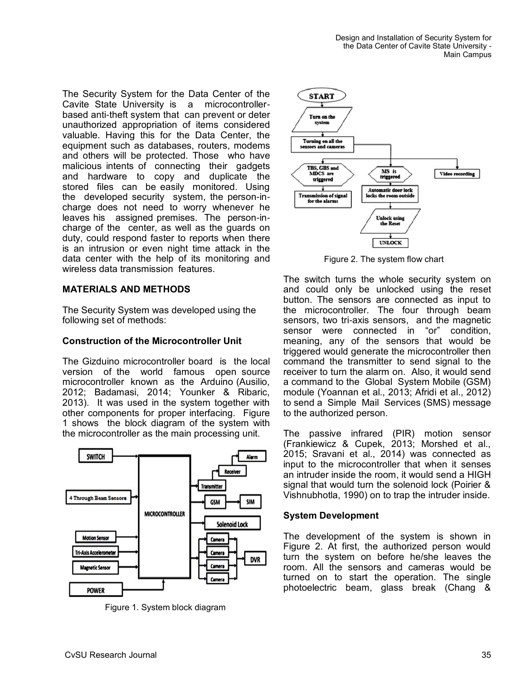The Security System for the Data Center of the Cavite State University is a microcontrollerbased anti-theft system that can prevent or deter unauthorized appropriation of items considered valuable. Having this for the Data Center, the equipment such as databases, routers, modems and others will be protected. Those who have malicious intents of connecting their gadgets and hardware to copy and duplicate the stored files can be easily monitored. Using the developed security system, the person-incharge does not need to worry whenever he leaves his assigned premises. The person-incharge of the center, as well as the guards on duty, could respond faster to reports when there is an intrusion or even night time attack in the data center with the help of its monitoring and wireless data transmission features.

## **MATERIALS AND METHODS**

The Security System was developed using the following set of methods:

#### **Construction of the Microcontroller Unit**

The Gizduino microcontroller board is the local version of the world famous open source microcontroller known as the Arduino (Ausilio, 2012; Badamasi, 2014; Younker & Ribaric, 2013). It was used in the system together with other components for proper interfacing. Figure 1 shows the block diagram of the system with the microcontroller as the main processing unit.



Figure 1. System block diagram



Figure 2. The system flow chart

The switch turns the whole security system on and could only be unlocked using the reset button. The sensors are connected as input to the microcontroller. The four through beam sensors, two tri-axis sensors, and the magnetic sensor were connected in "or" condition, meaning, any of the sensors that would be triggered would generate the microcontroller then command the transmitter to send signal to the receiver to turn the alarm on. Also, it would send a command to the Global System Mobile (GSM) module (Yoannan et al., 2013; Afridi et al., 2012) to send a Simple Mail Services (SMS) message to the authorized person.

The passive infrared (PIR) motion sensor (Frankiewicz & Cupek, 2013; Morshed et al., 2015; Sravani et al., 2014) was connected as input to the microcontroller that when it senses an intruder inside the room, it would send a HIGH signal that would turn the solenoid lock (Poirier & Vishnubhotla, 1990) on to trap the intruder inside.

#### **System Development**

The development of the system is shown in Figure 2. At first, the authorized person would turn the system on before he/she leaves the room. All the sensors and cameras would be turned on to start the operation. The single photoelectric beam, glass break (Chang &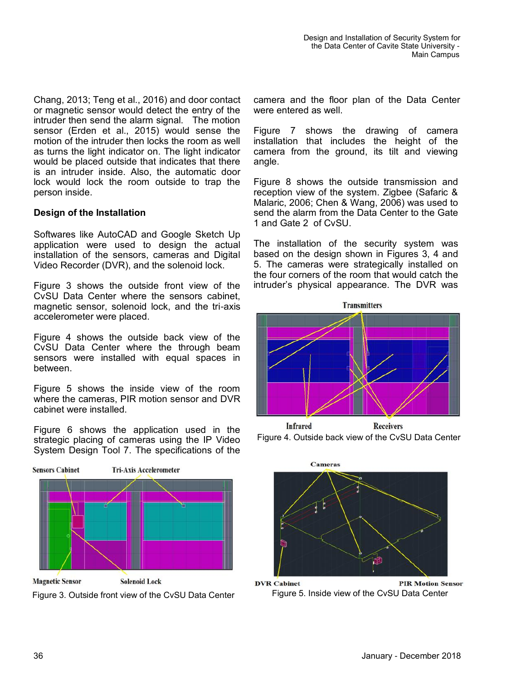Chang, 2013; Teng et al., 2016) and door contact or magnetic sensor would detect the entry of the intruder then send the alarm signal. The motion sensor (Erden et al., 2015) would sense the motion of the intruder then locks the room as well as turns the light indicator on. The light indicator would be placed outside that indicates that there is an intruder inside. Also, the automatic door lock would lock the room outside to trap the person inside.

## **Design of the Installation**

Softwares like AutoCAD and Google Sketch Up application were used to design the actual installation of the sensors, cameras and Digital Video Recorder (DVR), and the solenoid lock.

Figure 3 shows the outside front view of the CvSU Data Center where the sensors cabinet, magnetic sensor, solenoid lock, and the tri-axis accelerometer were placed.

Figure 4 shows the outside back view of the CvSU Data Center where the through beam sensors were installed with equal spaces in between.

Figure 5 shows the inside view of the room where the cameras, PIR motion sensor and DVR cabinet were installed.

Figure 6 shows the application used in the strategic placing of cameras using the IP Video System Design Tool 7. The specifications of the



**Magnetic Sensor Solenoid Lock** Figure 3. Outside front view of the CvSU Data Center camera and the floor plan of the Data Center were entered as well.

Figure 7 shows the drawing of camera installation that includes the height of the camera from the ground, its tilt and viewing angle.

Figure 8 shows the outside transmission and reception view of the system. Zigbee (Safaric & Malaric, 2006; Chen & Wang, 2006) was used to send the alarm from the Data Center to the Gate 1 and Gate 2 of CvSU.

The installation of the security system was based on the design shown in Figures 3, 4 and 5. The cameras were strategically installed on the four corners of the room that would catch the intruder's physical appearance. The DVR was



**Infrared Receivers** Figure 4. Outside back view of the CvSU Data Center



**DVR Cabinet PIR Motion Sensor** Figure 5. Inside view of the CvSU Data Center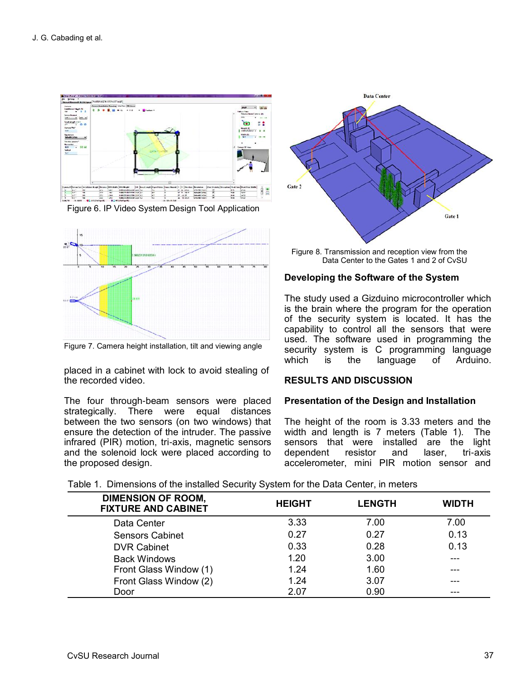

Figure 6. IP Video System Design Tool Application



Figure 7. Camera height installation, tilt and viewing angle

placed in a cabinet with lock to avoid stealing of the recorded video.

The four through-beam sensors were placed strategically. There were equal distances between the two sensors (on two windows) that ensure the detection of the intruder. The passive infrared (PIR) motion, tri-axis, magnetic sensors and the solenoid lock were placed according to the proposed design.



Figure 8. Transmission and reception view from the Data Center to the Gates 1 and 2 of CvSU

## **Developing the Software of the System**

The study used a Gizduino microcontroller which is the brain where the program for the operation of the security system is located. It has the capability to control all the sensors that were used. The software used in programming the security system is C programming language which is the language of Arduino.

## **RESULTS AND DISCUSSION**

#### **Presentation of the Design and Installation**

The height of the room is 3.33 meters and the width and length is 7 meters (Table 1). The sensors that were installed are the light dependent resistor and laser, tri-axis accelerometer, mini PIR motion sensor and

Table 1. Dimensions of the installed Security System for the Data Center, in meters

| <b>DIMENSION OF ROOM,</b><br><b>FIXTURE AND CABINET</b> | <b>HEIGHT</b> | <b>LENGTH</b> | <b>WIDTH</b> |
|---------------------------------------------------------|---------------|---------------|--------------|
| Data Center                                             | 3.33          | 7.00          | 7.00         |
| <b>Sensors Cabinet</b>                                  | 0.27          | 0.27          | 0.13         |
| <b>DVR Cabinet</b>                                      | 0.33          | 0.28          | 0.13         |
| <b>Back Windows</b>                                     | 1.20          | 3.00          |              |
| Front Glass Window (1)                                  | 1.24          | 1.60          | ---          |
| Front Glass Window (2)                                  | 1.24          | 3.07          |              |
| Door                                                    | 2.07          | 0.90          |              |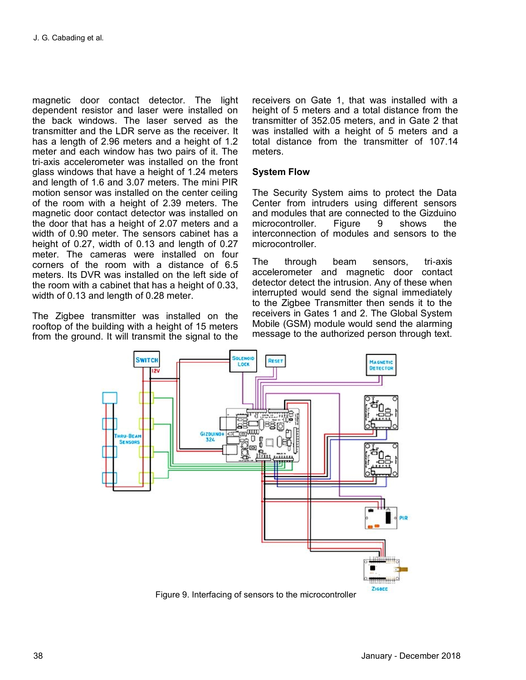magnetic door contact detector. The light dependent resistor and laser were installed on the back windows. The laser served as the transmitter and the LDR serve as the receiver. It has a length of 2.96 meters and a height of 1.2 meter and each window has two pairs of it. The tri-axis accelerometer was installed on the front glass windows that have a height of 1.24 meters and length of 1.6 and 3.07 meters. The mini PIR motion sensor was installed on the center ceiling of the room with a height of 2.39 meters. The magnetic door contact detector was installed on the door that has a height of 2.07 meters and a width of 0.90 meter. The sensors cabinet has a height of 0.27, width of 0.13 and length of 0.27 meter. The cameras were installed on four corners of the room with a distance of 6.5 meters. Its DVR was installed on the left side of the room with a cabinet that has a height of 0.33, width of 0.13 and length of 0.28 meter.

The Zigbee transmitter was installed on the rooftop of the building with a height of 15 meters from the ground. It will transmit the signal to the receivers on Gate 1, that was installed with a height of 5 meters and a total distance from the transmitter of 352.05 meters, and in Gate 2 that was installed with a height of 5 meters and a total distance from the transmitter of 107.14 meters.

## **System Flow**

The Security System aims to protect the Data Center from intruders using different sensors and modules that are connected to the Gizduino microcontroller. Figure 9 shows the interconnection of modules and sensors to the microcontroller.

The through beam sensors, tri-axis accelerometer and magnetic door contact detector detect the intrusion. Any of these when interrupted would send the signal immediately to the Zigbee Transmitter then sends it to the receivers in Gates 1 and 2. The Global System Mobile (GSM) module would send the alarming message to the authorized person through text.



Figure 9. Interfacing of sensors to the microcontroller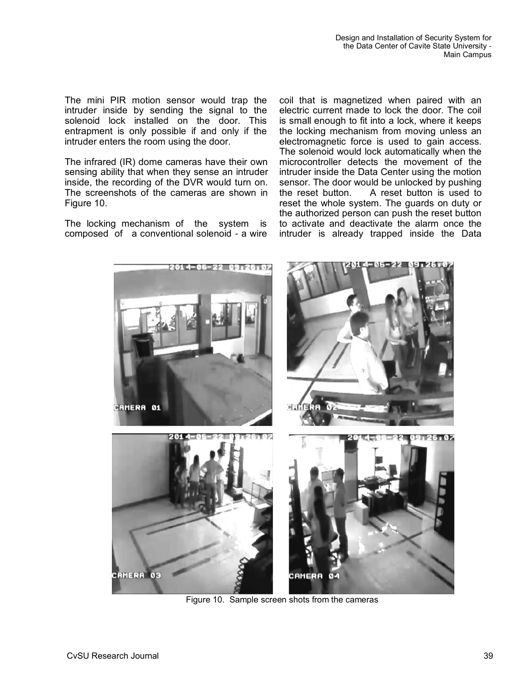The mini PIR motion sensor would trap the intruder inside by sending the signal to the solenoid lock installed on the door. This entrapment is only possible if and only if the intruder enters the room using the door.

The infrared (IR) dome cameras have their own sensing ability that when they sense an intruder inside, the recording of the DVR would turn on. The screenshots of the cameras are shown in Figure 10.

The locking mechanism of the system is composed of a conventional solenoid - a wire coil that is magnetized when paired with an electric current made to lock the door. The coil is small enough to fit into a lock, where it keeps the locking mechanism from moving unless an electromagnetic force is used to gain access. The solenoid would lock automatically when the microcontroller detects the movement of the intruder inside the Data Center using the motion sensor. The door would be unlocked by pushing the reset button. A reset button is used to reset the whole system. The guards on duty or the authorized person can push the reset button to activate and deactivate the alarm once the intruder is already trapped inside the Data



Figure 10. Sample screen shots from the cameras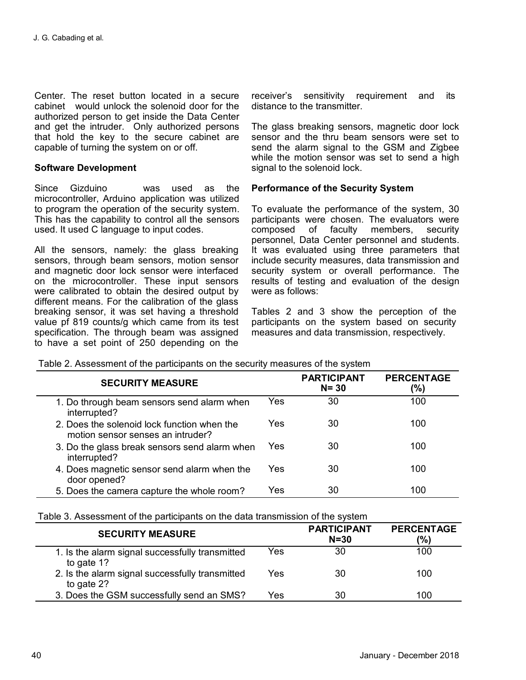Center. The reset button located in a secure cabinet would unlock the solenoid door for the authorized person to get inside the Data Center and get the intruder. Only authorized persons that hold the key to the secure cabinet are capable of turning the system on or off.

## **Software Development**

Since Gizduino was used as the microcontroller, Arduino application was utilized to program the operation of the security system. This has the capability to control all the sensors used. It used C language to input codes.

All the sensors, namely: the glass breaking sensors, through beam sensors, motion sensor and magnetic door lock sensor were interfaced on the microcontroller. These input sensors were calibrated to obtain the desired output by different means. For the calibration of the glass breaking sensor, it was set having a threshold value pf 819 counts/g which came from its test specification. The through beam was assigned to have a set point of 250 depending on the

receiver's sensitivity requirement and its distance to the transmitter.

The glass breaking sensors, magnetic door lock sensor and the thru beam sensors were set to send the alarm signal to the GSM and Zigbee while the motion sensor was set to send a high signal to the solenoid lock.

#### **Performance of the Security System**

To evaluate the performance of the system, 30 participants were chosen. The evaluators were composed of faculty members, security personnel, Data Center personnel and students. It was evaluated using three parameters that include security measures, data transmission and security system or overall performance. The results of testing and evaluation of the design were as follows:

Tables 2 and 3 show the perception of the participants on the system based on security measures and data transmission, respectively.

| <b>SECURITY MEASURE</b>                                                          |     | <b>PARTICIPANT</b><br>$N = 30$ | <b>PERCENTAGE</b><br>(%) |
|----------------------------------------------------------------------------------|-----|--------------------------------|--------------------------|
| 1. Do through beam sensors send alarm when<br>interrupted?                       | Yes | 30                             | 100                      |
| 2. Does the solenoid lock function when the<br>motion sensor senses an intruder? | Yes | 30                             | 100                      |
| 3. Do the glass break sensors send alarm when<br>interrupted?                    | Yes | 30                             | 100                      |
| 4. Does magnetic sensor send alarm when the<br>door opened?                      | Yes | 30                             | 100                      |
| 5. Does the camera capture the whole room?                                       | Yes | 30                             | 100                      |

Table 2. Assessment of the participants on the security measures of the system

Table 3. Assessment of the participants on the data transmission of the system

| <b>SECURITY MEASURE</b>                                              | <b>PARTICIPANT</b><br>$N = 30$ | <b>PERCENTAGE</b><br>(%) |
|----------------------------------------------------------------------|--------------------------------|--------------------------|
| Yes<br>1. Is the alarm signal successfully transmitted<br>to gate 1? | 30                             | 100                      |
| 2. Is the alarm signal successfully transmitted<br>Yes<br>to gate 2? | 30                             | 100                      |
| 3. Does the GSM successfully send an SMS?<br>Yes                     | 30                             | 100                      |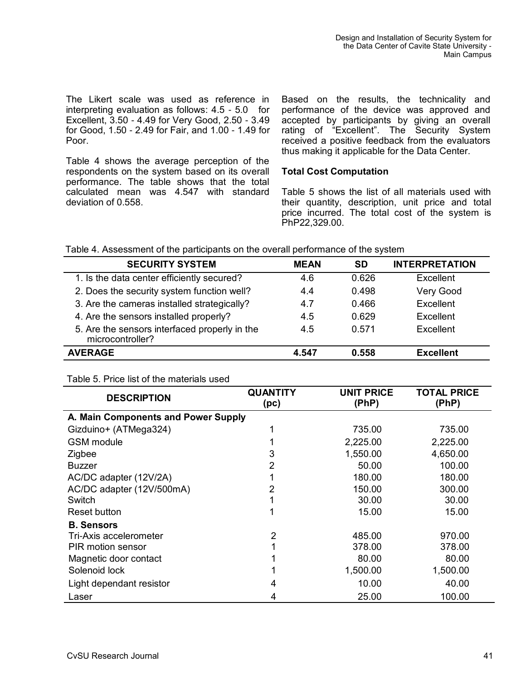The Likert scale was used as reference in interpreting evaluation as follows: 4.5 - 5.0 for Excellent, 3.50 - 4.49 for Very Good, 2.50 - 3.49 for Good, 1.50 - 2.49 for Fair, and 1.00 - 1.49 for Poor.

Table 4 shows the average perception of the respondents on the system based on its overall performance. The table shows that the total calculated mean was 4.547 with standard deviation of 0.558.

Based on the results, the technicality and performance of the device was approved and accepted by participants by giving an overall rating of "Excellent". The Security System received a positive feedback from the evaluators thus making it applicable for the Data Center.

#### **Total Cost Computation**

Table 5 shows the list of all materials used with their quantity, description, unit price and total price incurred. The total cost of the system is PhP22,329.00.

|  | Table 4. Assessment of the participants on the overall performance of the system |  |  |  |  |
|--|----------------------------------------------------------------------------------|--|--|--|--|
|--|----------------------------------------------------------------------------------|--|--|--|--|

| <b>SECURITY SYSTEM</b>                                            | <b>MEAN</b> | <b>SD</b> | <b>INTERPRETATION</b> |
|-------------------------------------------------------------------|-------------|-----------|-----------------------|
| 1. Is the data center efficiently secured?                        | 4.6         | 0.626     | Excellent             |
| 2. Does the security system function well?                        | 4.4         | 0.498     | Very Good             |
| 3. Are the cameras installed strategically?                       | 4.7         | 0.466     | Excellent             |
| 4. Are the sensors installed properly?                            | 4.5         | 0.629     | Excellent             |
| 5. Are the sensors interfaced properly in the<br>microcontroller? | 4.5         | 0.571     | Excellent             |
| <b>AVERAGE</b>                                                    | 4.547       | 0.558     | <b>Excellent</b>      |

#### Table 5. Price list of the materials used

| <b>DESCRIPTION</b>                  | QUANTITY<br>(p <sub>c</sub> ) | <b>UNIT PRICE</b><br>(PhP) | <b>TOTAL PRICE</b><br>(PhP) |  |  |
|-------------------------------------|-------------------------------|----------------------------|-----------------------------|--|--|
| A. Main Components and Power Supply |                               |                            |                             |  |  |
| Gizduino+ (ATMega324)               |                               | 735.00                     | 735.00                      |  |  |
| <b>GSM</b> module                   |                               | 2,225.00                   | 2,225.00                    |  |  |
| Zigbee                              | 3                             | 1,550.00                   | 4,650.00                    |  |  |
| <b>Buzzer</b>                       | 2                             | 50.00                      | 100.00                      |  |  |
| AC/DC adapter (12V/2A)              |                               | 180.00                     | 180.00                      |  |  |
| AC/DC adapter (12V/500mA)           | 2                             | 150.00                     | 300.00                      |  |  |
| Switch                              |                               | 30.00                      | 30.00                       |  |  |
| Reset button                        |                               | 15.00                      | 15.00                       |  |  |
| <b>B.</b> Sensors                   |                               |                            |                             |  |  |
| Tri-Axis accelerometer              | 2                             | 485.00                     | 970.00                      |  |  |
| PIR motion sensor                   |                               | 378.00                     | 378.00                      |  |  |
| Magnetic door contact               |                               | 80.00                      | 80.00                       |  |  |
| Solenoid lock                       |                               | 1,500.00                   | 1,500.00                    |  |  |
| Light dependant resistor            | 4                             | 10.00                      | 40.00                       |  |  |
| Laser                               | 4                             | 25.00                      | 100.00                      |  |  |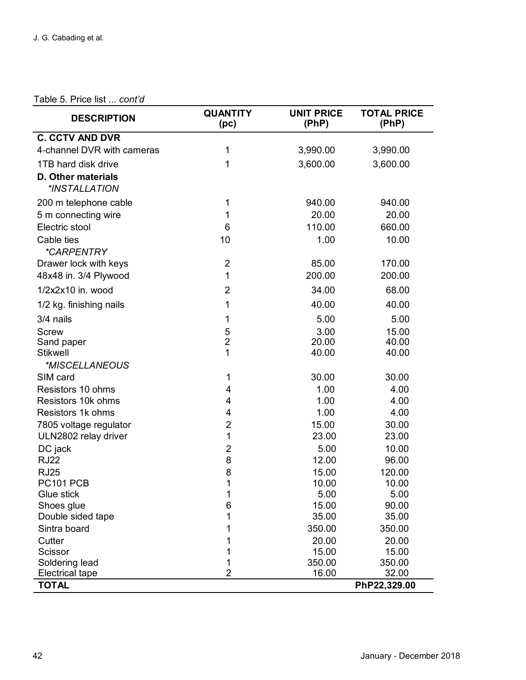## Table 5. Price list ... *cont'd*

| <b>DESCRIPTION</b>         | <b>QUANTITY</b><br>(p <sub>c</sub> ) | <b>UNIT PRICE</b><br>(PhP) | <b>TOTAL PRICE</b><br>(PhP) |
|----------------------------|--------------------------------------|----------------------------|-----------------------------|
| <b>C. CCTV AND DVR</b>     |                                      |                            |                             |
| 4-channel DVR with cameras | 1                                    | 3,990.00                   | 3,990.00                    |
| 1TB hard disk drive        | 1                                    | 3,600.00                   | 3,600.00                    |
| <b>D. Other materials</b>  |                                      |                            |                             |
| *INSTALLATION              |                                      |                            |                             |
| 200 m telephone cable      | 1                                    | 940.00                     | 940.00                      |
| 5 m connecting wire        | 1                                    | 20.00                      | 20.00                       |
| Electric stool             | 6                                    | 110.00                     | 660.00                      |
| Cable ties                 | 10                                   | 1.00                       | 10.00                       |
| <i><b>*CARPENTRY</b></i>   |                                      |                            |                             |
| Drawer lock with keys      | $\overline{2}$                       | 85.00                      | 170.00                      |
| 48x48 in. 3/4 Plywood      | 1                                    | 200.00                     | 200.00                      |
| 1/2x2x10 in. wood          | $\overline{2}$                       | 34.00                      | 68.00                       |
| 1/2 kg. finishing nails    | 1                                    | 40.00                      | 40.00                       |
| 3/4 nails                  | 1                                    | 5.00                       | 5.00                        |
| <b>Screw</b>               | 5                                    | 3.00                       | 15.00                       |
| Sand paper                 | $\overline{c}$                       | 20.00                      | 40.00                       |
| <b>Stikwell</b>            | 1                                    | 40.00                      | 40.00                       |
| *MISCELLANEOUS             |                                      |                            |                             |
| SIM card                   | 1                                    | 30.00                      | 30.00                       |
| Resistors 10 ohms          | 4                                    | 1.00                       | 4.00                        |
| Resistors 10k ohms         | 4                                    | 1.00                       | 4.00                        |
| Resistors 1k ohms          | 4                                    | 1.00                       | 4.00                        |
| 7805 voltage regulator     | $\overline{2}$                       | 15.00                      | 30.00                       |
| ULN2802 relay driver       | 1                                    | 23.00                      | 23.00                       |
| DC jack                    | $\overline{c}$                       | 5.00                       | 10.00                       |
| <b>RJ22</b>                | 8                                    | 12.00                      | 96.00                       |
| <b>RJ25</b>                | 8<br>1                               | 15.00                      | 120.00                      |
| PC101 PCB<br>Glue stick    |                                      | 10.00<br>5.00              | 10.00<br>5.00               |
| Shoes glue                 | 6                                    | 15.00                      | 90.00                       |
| Double sided tape          | 1                                    | 35.00                      | 35.00                       |
| Sintra board               | 1                                    | 350.00                     | 350.00                      |
| Cutter                     | 1                                    | 20.00                      | 20.00                       |
| Scissor                    | 1                                    | 15.00                      | 15.00                       |
| Soldering lead             | 1                                    | 350.00                     | 350.00                      |
| <b>Electrical tape</b>     | $\overline{2}$                       | 16.00                      | 32.00                       |
| <b>TOTAL</b>               |                                      |                            | PhP22,329.00                |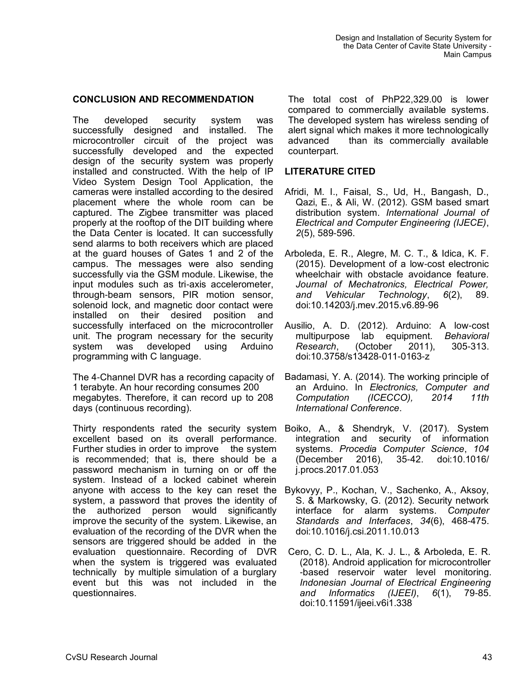## **CONCLUSION AND RECOMMENDATION**

The developed security system was successfully designed and installed. The microcontroller circuit of the project was successfully developed and the expected design of the security system was properly installed and constructed. With the help of IP Video System Design Tool Application, the cameras were installed according to the desired placement where the whole room can be captured. The Zigbee transmitter was placed properly at the rooftop of the DIT building where the Data Center is located. It can successfully send alarms to both receivers which are placed at the guard houses of Gates 1 and 2 of the campus. The messages were also sending successfully via the GSM module. Likewise, the input modules such as tri-axis accelerometer, through-beam sensors, PIR motion sensor, solenoid lock, and magnetic door contact were installed on their desired position and successfully interfaced on the microcontroller unit. The program necessary for the security system was developed using Arduino programming with C language.

The 4-Channel DVR has a recording capacity of 1 terabyte. An hour recording consumes 200 megabytes. Therefore, it can record up to 208 days (continuous recording).

Thirty respondents rated the security system excellent based on its overall performance. Further studies in order to improve the system is recommended; that is, there should be a password mechanism in turning on or off the system. Instead of a locked cabinet wherein anyone with access to the key can reset the system, a password that proves the identity of the authorized person would significantly improve the security of the system. Likewise, an evaluation of the recording of the DVR when the sensors are triggered should be added in the evaluation questionnaire. Recording of DVR when the system is triggered was evaluated technically by multiple simulation of a burglary event but this was not included in the questionnaires.

The total cost of PhP22,329.00 is lower compared to commercially available systems. The developed system has wireless sending of alert signal which makes it more technologically advanced than its commercially available counterpart.

# **LITERATURE CITED**

- Afridi, M. I., Faisal, S., Ud, H., Bangash, D., Qazi, E., & Ali, W. (2012). GSM based smart distribution system. *International Journal of Electrical and Computer Engineering (IJECE)*, *2*(5), 589-596.
- Arboleda, E. R., Alegre, M. C. T., & Idica, K. F. (2015). Development of a low-cost electronic wheelchair with obstacle avoidance feature. *Journal of Mechatronics, Electrical Power, and Vehicular Technology*, *6*(2), 89. doi:10.14203/j.mev.2015.v6.89-96
- Ausilio, A. D. (2012). Arduino: A low-cost multipurpose lab equipment. *Behavioral Research*, (October 2011), 305-313. doi:10.3758/s13428-011-0163-z
- Badamasi, Y. A. (2014). The working principle of an Arduino. In *Electronics, Computer and Computation (ICECCO), 2014 11th International Conference*.
- Boiko, A., & Shendryk, V. (2017). System integration and security of information systems. *Procedia Computer Science*, *104*  (December 2016), 35-42. doi:10.1016/ j.procs.2017.01.053
- Bykovyy, P., Kochan, V., Sachenko, A., Aksoy, S. & Markowsky, G. (2012). Security network interface for alarm systems. *Computer Standards and Interfaces*, *34*(6), 468-475. doi:10.1016/j.csi.2011.10.013
- Cero, C. D. L., Ala, K. J. L., & Arboleda, E. R. (2018). Android application for microcontroller -based reservoir water level monitoring. *Indonesian Journal of Electrical Engineering and Informatics (IJEEI)*, *6*(1), 79-85. doi:10.11591/ijeei.v6i1.338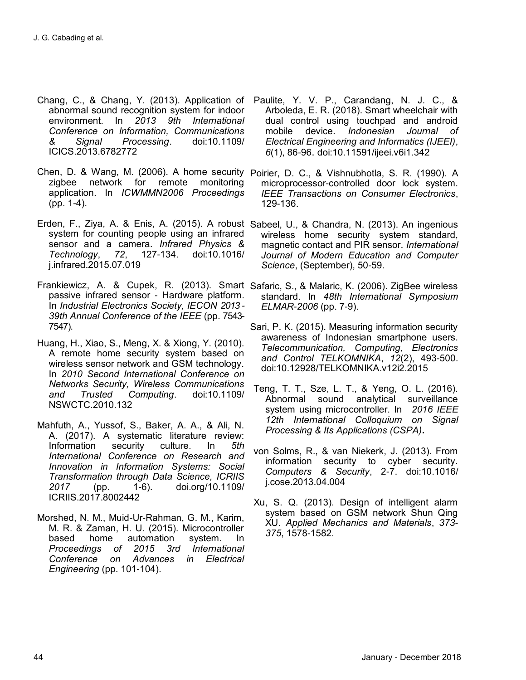- Chang, C., & Chang, Y. (2013). Application of abnormal sound recognition system for indoor environment. In *2013 9th International Conference on Information, Communications & Signal Processing*. doi:10.1109/ ICICS.2013.6782772
- Chen, D. & Wang, M. (2006). A home security Poirier, D. C., & Vishnubhotla, S. R. (1990). A zigbee network for remote monitoring application. In *ICWMMN2006 Proceedings* (pp. 1-4).
- Erden, F., Ziya, A. & Enis, A. (2015). A robust Sabeel, U., & Chandra, N. (2013). An ingenious system for counting people using an infrared sensor and a camera. *Infrared Physics & Technology*, *72*, 127-134. doi:10.1016/ j.infrared.2015.07.019
- Frankiewicz, A. & Cupek, R. (2013). Smart Safaric, S., & Malaric, K. (2006). ZigBee wireless passive infrared sensor - Hardware platform. In *Industrial Electronics Society, IECON 2013 - 39th Annual Conference of the IEEE* (pp. 7543- 7547).
- Huang, H., Xiao, S., Meng, X. & Xiong, Y. (2010). A remote home security system based on wireless sensor network and GSM technology. In *2010 Second International Conference on Networks Security, Wireless Communications and Trusted Computing*. doi:10.1109/ NSWCTC.2010.132
- Mahfuth, A., Yussof, S., Baker, A. A., & Ali, N. A. (2017). A systematic literature review: Information security culture. In *5th International Conference on Research and Innovation in Information Systems: Social Transformation through Data Science, ICRIIS 2017* (pp. 1-6). doi.org/10.1109/ ICRIIS.2017.8002442
- Morshed, N. M., Muid-Ur-Rahman, G. M., Karim, M. R. & Zaman, H. U. (2015). Microcontroller based home automation system. In *Proceedings of 2015 3rd International Conference on Advances in Electrical Engineering* (pp. 101-104).
- Paulite, Y. V. P., Carandang, N. J. C., & Arboleda, E. R. (2018). Smart wheelchair with dual control using touchpad and android mobile device. *Indonesian Journal of Electrical Engineering and Informatics (IJEEI)*, *6*(1), 86-96. doi:10.11591/ijeei.v6i1.342
- microprocessor-controlled door lock system. *IEEE Transactions on Consumer Electronics*, 129-136.
- wireless home security system standard, magnetic contact and PIR sensor. *International Journal of Modern Education and Computer Science*, (September), 50-59.
- standard. In *48th International Symposium ELMAR-2006* (pp. 7-9).
- Sari, P. K. (2015). Measuring information security awareness of Indonesian smartphone users. *Telecommunication, Computing, Electronics and Control TELKOMNIKA*, *12*(2), 493-500. doi:10.12928/TELKOMNIKA.v12i2.2015
- Teng, T. T., Sze, L. T., & Yeng, O. L. (2016). Abnormal sound analytical surveillance system using microcontroller. In *2016 IEEE 12th International Colloquium on Signal Processing & Its Applications (CSPA)***.**
- von Solms, R., & van Niekerk, J. (2013). From information security to cyber security. *Computers & Security*, 2-7. doi:10.1016/ j.cose.2013.04.004
- Xu, S. Q. (2013). Design of intelligent alarm system based on GSM network Shun Qing XU. *Applied Mechanics and Materials*, *373- 375*, 1578-1582.